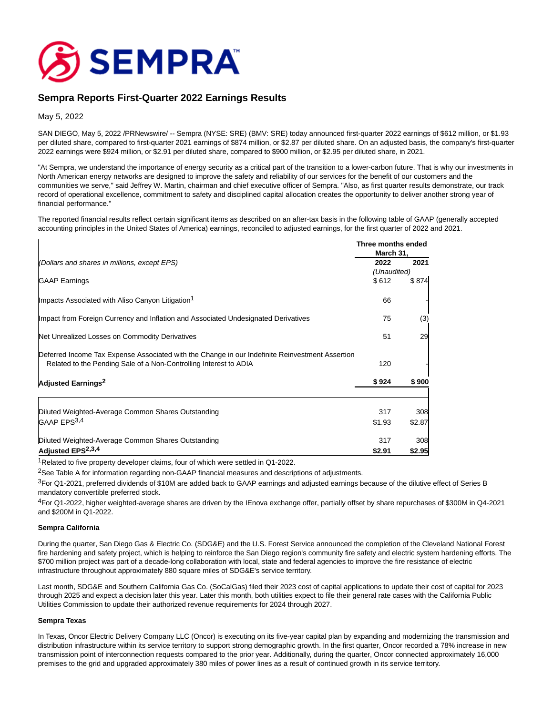

# **Sempra Reports First-Quarter 2022 Earnings Results**

May 5, 2022

SAN DIEGO, May 5, 2022 /PRNewswire/ -- Sempra (NYSE: SRE) (BMV: SRE) today announced first-quarter 2022 earnings of \$612 million, or \$1.93 per diluted share, compared to first-quarter 2021 earnings of \$874 million, or \$2.87 per diluted share. On an adjusted basis, the company's first-quarter 2022 earnings were \$924 million, or \$2.91 per diluted share, compared to \$900 million, or \$2.95 per diluted share, in 2021.

"At Sempra, we understand the importance of energy security as a critical part of the transition to a lower-carbon future. That is why our investments in North American energy networks are designed to improve the safety and reliability of our services for the benefit of our customers and the communities we serve," said Jeffrey W. Martin, chairman and chief executive officer of Sempra. "Also, as first quarter results demonstrate, our track record of operational excellence, commitment to safety and disciplined capital allocation creates the opportunity to deliver another strong year of financial performance."

The reported financial results reflect certain significant items as described on an after-tax basis in the following table of GAAP (generally accepted accounting principles in the United States of America) earnings, reconciled to adjusted earnings, for the first quarter of 2022 and 2021.

|                                                                                                                                                                      | Three months ended |        |
|----------------------------------------------------------------------------------------------------------------------------------------------------------------------|--------------------|--------|
| (Dollars and shares in millions, except EPS)                                                                                                                         | March 31,<br>2022  | 2021   |
|                                                                                                                                                                      | (Unaudited)        |        |
| <b>GAAP Earnings</b>                                                                                                                                                 | \$612              | \$874  |
| Impacts Associated with Aliso Canyon Litigation <sup>1</sup>                                                                                                         | 66                 |        |
| Impact from Foreign Currency and Inflation and Associated Undesignated Derivatives                                                                                   | 75                 | (3)    |
| Net Unrealized Losses on Commodity Derivatives                                                                                                                       | 51                 | 29     |
| Deferred Income Tax Expense Associated with the Change in our Indefinite Reinvestment Assertion<br>Related to the Pending Sale of a Non-Controlling Interest to ADIA | 120                |        |
| <b>Adjusted Earnings<sup>2</sup></b>                                                                                                                                 | \$924              | \$900  |
| Diluted Weighted-Average Common Shares Outstanding                                                                                                                   | 317                | 308    |
| GAAP EPS <sup>3,4</sup>                                                                                                                                              | \$1.93             | \$2.87 |
| Diluted Weighted-Average Common Shares Outstanding                                                                                                                   | 317                | 308    |
| Adjusted EPS <sup>2,3,4</sup>                                                                                                                                        | \$2.91             | \$2.95 |

<sup>1</sup>Related to five property developer claims, four of which were settled in Q1-2022.

<sup>2</sup>See Table A for information regarding non-GAAP financial measures and descriptions of adjustments.

<sup>3</sup>For Q1-2021, preferred dividends of \$10M are added back to GAAP earnings and adjusted earnings because of the dilutive effect of Series B mandatory convertible preferred stock.

4For Q1-2022, higher weighted-average shares are driven by the IEnova exchange offer, partially offset by share repurchases of \$300M in Q4-2021 and \$200M in Q1-2022.

## **Sempra California**

During the quarter, San Diego Gas & Electric Co. (SDG&E) and the U.S. Forest Service announced the completion of the Cleveland National Forest fire hardening and safety project, which is helping to reinforce the San Diego region's community fire safety and electric system hardening efforts. The \$700 million project was part of a decade-long collaboration with local, state and federal agencies to improve the fire resistance of electric infrastructure throughout approximately 880 square miles of SDG&E's service territory.

Last month, SDG&E and Southern California Gas Co. (SoCalGas) filed their 2023 cost of capital applications to update their cost of capital for 2023 through 2025 and expect a decision later this year. Later this month, both utilities expect to file their general rate cases with the California Public Utilities Commission to update their authorized revenue requirements for 2024 through 2027.

# **Sempra Texas**

In Texas, Oncor Electric Delivery Company LLC (Oncor) is executing on its five-year capital plan by expanding and modernizing the transmission and distribution infrastructure within its service territory to support strong demographic growth. In the first quarter, Oncor recorded a 78% increase in new transmission point of interconnection requests compared to the prior year. Additionally, during the quarter, Oncor connected approximately 16,000 premises to the grid and upgraded approximately 380 miles of power lines as a result of continued growth in its service territory.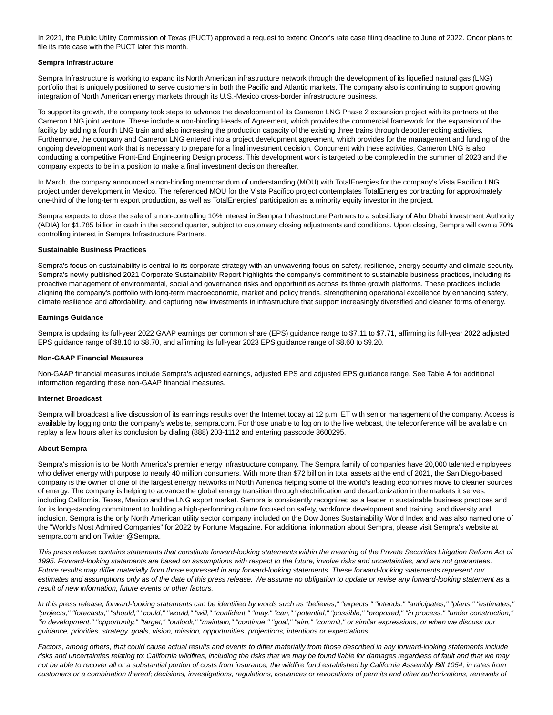In 2021, the Public Utility Commission of Texas (PUCT) approved a request to extend Oncor's rate case filing deadline to June of 2022. Oncor plans to file its rate case with the PUCT later this month.

#### **Sempra Infrastructure**

Sempra Infrastructure is working to expand its North American infrastructure network through the development of its liquefied natural gas (LNG) portfolio that is uniquely positioned to serve customers in both the Pacific and Atlantic markets. The company also is continuing to support growing integration of North American energy markets through its U.S.-Mexico cross-border infrastructure business.

To support its growth, the company took steps to advance the development of its Cameron LNG Phase 2 expansion project with its partners at the Cameron LNG joint venture. These include a non-binding Heads of Agreement, which provides the commercial framework for the expansion of the facility by adding a fourth LNG train and also increasing the production capacity of the existing three trains through debottlenecking activities. Furthermore, the company and Cameron LNG entered into a project development agreement, which provides for the management and funding of the ongoing development work that is necessary to prepare for a final investment decision. Concurrent with these activities, Cameron LNG is also conducting a competitive Front-End Engineering Design process. This development work is targeted to be completed in the summer of 2023 and the company expects to be in a position to make a final investment decision thereafter.

In March, the company announced a non-binding memorandum of understanding (MOU) with TotalEnergies for the company's Vista Pacífico LNG project under development in Mexico. The referenced MOU for the Vista Pacífico project contemplates TotalEnergies contracting for approximately one-third of the long-term export production, as well as TotalEnergies' participation as a minority equity investor in the project.

Sempra expects to close the sale of a non-controlling 10% interest in Sempra Infrastructure Partners to a subsidiary of Abu Dhabi Investment Authority (ADIA) for \$1.785 billion in cash in the second quarter, subject to customary closing adjustments and conditions. Upon closing, Sempra will own a 70% controlling interest in Sempra Infrastructure Partners.

#### **Sustainable Business Practices**

Sempra's focus on sustainability is central to its corporate strategy with an unwavering focus on safety, resilience, energy security and climate security. Sempra's newly published 2021 Corporate Sustainability Report highlights the company's commitment to sustainable business practices, including its proactive management of environmental, social and governance risks and opportunities across its three growth platforms. These practices include aligning the company's portfolio with long-term macroeconomic, market and policy trends, strengthening operational excellence by enhancing safety, climate resilience and affordability, and capturing new investments in infrastructure that support increasingly diversified and cleaner forms of energy.

#### **Earnings Guidance**

Sempra is updating its full-year 2022 GAAP earnings per common share (EPS) guidance range to \$7.11 to \$7.71, affirming its full-year 2022 adjusted EPS guidance range of \$8.10 to \$8.70, and affirming its full-year 2023 EPS guidance range of \$8.60 to \$9.20.

#### **Non-GAAP Financial Measures**

Non-GAAP financial measures include Sempra's adjusted earnings, adjusted EPS and adjusted EPS guidance range. See Table A for additional information regarding these non-GAAP financial measures.

#### **Internet Broadcast**

Sempra will broadcast a live discussion of its earnings results over the Internet today at 12 p.m. ET with senior management of the company. Access is available by logging onto the company's website, sempra.com. For those unable to log on to the live webcast, the teleconference will be available on replay a few hours after its conclusion by dialing (888) 203-1112 and entering passcode 3600295.

#### **About Sempra**

Sempra's mission is to be North America's premier energy infrastructure company. The Sempra family of companies have 20,000 talented employees who deliver energy with purpose to nearly 40 million consumers. With more than \$72 billion in total assets at the end of 2021, the San Diego-based company is the owner of one of the largest energy networks in North America helping some of the world's leading economies move to cleaner sources of energy. The company is helping to advance the global energy transition through electrification and decarbonization in the markets it serves, including California, Texas, Mexico and the LNG export market. Sempra is consistently recognized as a leader in sustainable business practices and for its long-standing commitment to building a high-performing culture focused on safety, workforce development and training, and diversity and inclusion. Sempra is the only North American utility sector company included on the Dow Jones Sustainability World Index and was also named one of the "World's Most Admired Companies" for 2022 by Fortune Magazine. For additional information about Sempra, please visit Sempra's website at sempra.com and on Twitter @Sempra.

This press release contains statements that constitute forward-looking statements within the meaning of the Private Securities Litigation Reform Act of 1995. Forward-looking statements are based on assumptions with respect to the future, involve risks and uncertainties, and are not guarantees. Future results may differ materially from those expressed in any forward-looking statements. These forward-looking statements represent our estimates and assumptions only as of the date of this press release. We assume no obligation to update or revise any forward-looking statement as a result of new information, future events or other factors.

In this press release, forward-looking statements can be identified by words such as "believes," "expects," "intends," "anticipates," "plans," "estimates," "projects," "forecasts," "should," "could," "would," "will," "confident," "may," "can," "potential," "possible," "proposed," "in process," "under construction," "in development," "opportunity," "target," "outlook," "maintain," "continue," "goal," "aim," "commit," or similar expressions, or when we discuss our guidance, priorities, strategy, goals, vision, mission, opportunities, projections, intentions or expectations.

Factors, among others, that could cause actual results and events to differ materially from those described in any forward-looking statements include risks and uncertainties relating to: California wildfires, including the risks that we may be found liable for damages regardless of fault and that we may not be able to recover all or a substantial portion of costs from insurance, the wildfire fund established by California Assembly Bill 1054, in rates from customers or a combination thereof; decisions, investigations, regulations, issuances or revocations of permits and other authorizations, renewals of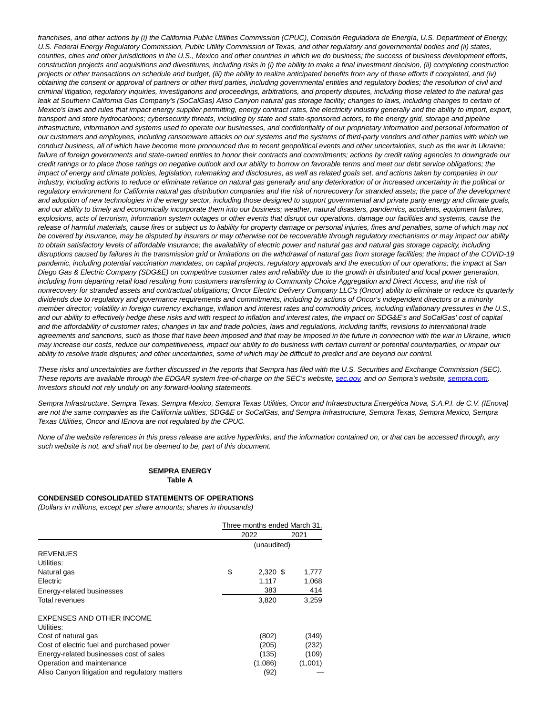franchises, and other actions by (i) the California Public Utilities Commission (CPUC), Comisión Reguladora de Energía, U.S. Department of Energy, U.S. Federal Energy Regulatory Commission, Public Utility Commission of Texas, and other regulatory and governmental bodies and (ii) states, counties, cities and other jurisdictions in the U.S., Mexico and other countries in which we do business; the success of business development efforts, construction projects and acquisitions and divestitures, including risks in (i) the ability to make a final investment decision, (ii) completing construction projects or other transactions on schedule and budget, (iii) the ability to realize anticipated benefits from any of these efforts if completed, and (iv) obtaining the consent or approval of partners or other third parties, including governmental entities and regulatory bodies; the resolution of civil and criminal litigation, regulatory inquiries, investigations and proceedings, arbitrations, and property disputes, including those related to the natural gas leak at Southern California Gas Company's (SoCalGas) Aliso Canyon natural gas storage facility; changes to laws, including changes to certain of Mexico's laws and rules that impact energy supplier permitting, energy contract rates, the electricity industry generally and the ability to import, export, transport and store hydrocarbons; cybersecurity threats, including by state and state-sponsored actors, to the energy grid, storage and pipeline infrastructure, information and systems used to operate our businesses, and confidentiality of our proprietary information and personal information of our customers and employees, including ransomware attacks on our systems and the systems of third-party vendors and other parties with which we conduct business, all of which have become more pronounced due to recent geopolitical events and other uncertainties, such as the war in Ukraine; failure of foreign governments and state-owned entities to honor their contracts and commitments; actions by credit rating agencies to downgrade our credit ratings or to place those ratings on negative outlook and our ability to borrow on favorable terms and meet our debt service obligations; the impact of energy and climate policies, legislation, rulemaking and disclosures, as well as related goals set, and actions taken by companies in our industry, including actions to reduce or eliminate reliance on natural gas generally and any deterioration of or increased uncertainty in the political or regulatory environment for California natural gas distribution companies and the risk of nonrecovery for stranded assets; the pace of the development and adoption of new technologies in the energy sector, including those designed to support governmental and private party energy and climate goals, and our ability to timely and economically incorporate them into our business; weather, natural disasters, pandemics, accidents, equipment failures, explosions, acts of terrorism, information system outages or other events that disrupt our operations, damage our facilities and systems, cause the release of harmful materials, cause fires or subject us to liability for property damage or personal injuries, fines and penalties, some of which may not be covered by insurance, may be disputed by insurers or may otherwise not be recoverable through regulatory mechanisms or may impact our ability to obtain satisfactory levels of affordable insurance; the availability of electric power and natural gas and natural gas storage capacity, including disruptions caused by failures in the transmission grid or limitations on the withdrawal of natural gas from storage facilities; the impact of the COVID-19 pandemic, including potential vaccination mandates, on capital projects, regulatory approvals and the execution of our operations; the impact at San Diego Gas & Electric Company (SDG&E) on competitive customer rates and reliability due to the growth in distributed and local power generation, including from departing retail load resulting from customers transferring to Community Choice Aggregation and Direct Access, and the risk of nonrecovery for stranded assets and contractual obligations; Oncor Electric Delivery Company LLC's (Oncor) ability to eliminate or reduce its quarterly dividends due to regulatory and governance requirements and commitments, including by actions of Oncor's independent directors or a minority member director; volatility in foreign currency exchange, inflation and interest rates and commodity prices, including inflationary pressures in the U.S., and our ability to effectively hedge these risks and with respect to inflation and interest rates, the impact on SDG&E's and SoCalGas' cost of capital and the affordability of customer rates; changes in tax and trade policies, laws and regulations, including tariffs, revisions to international trade agreements and sanctions, such as those that have been imposed and that may be imposed in the future in connection with the war in Ukraine, which may increase our costs, reduce our competitiveness, impact our ability to do business with certain current or potential counterparties, or impair our ability to resolve trade disputes; and other uncertainties, some of which may be difficult to predict and are beyond our control.

These risks and uncertainties are further discussed in the reports that Sempra has filed with the U.S. Securities and Exchange Commission (SEC). These reports are available through the EDGAR system free-of-charge on the SEC's website, sec.goy, and on Sempra's website[, sempra.com.](http://sempra.com/) Investors should not rely unduly on any forward-looking statements.

Sempra Infrastructure, Sempra Texas, Sempra Mexico, Sempra Texas Utilities, Oncor and Infraestructura Energética Nova, S.A.P.I. de C.V. (IEnova) are not the same companies as the California utilities, SDG&E or SoCalGas, and Sempra Infrastructure, Sempra Texas, Sempra Mexico, Sempra Texas Utilities, Oncor and IEnova are not regulated by the CPUC.

None of the website references in this press release are active hyperlinks, and the information contained on, or that can be accessed through, any such website is not, and shall not be deemed to be, part of this document.

#### **SEMPRA ENERGY Table A**

# **CONDENSED CONSOLIDATED STATEMENTS OF OPERATIONS**

(Dollars in millions, except per share amounts; shares in thousands)

|                                                | Three months ended March 31, |         |  |  |  |
|------------------------------------------------|------------------------------|---------|--|--|--|
|                                                | 2022<br>2021                 |         |  |  |  |
|                                                | (unaudited)                  |         |  |  |  |
| <b>REVENUES</b>                                |                              |         |  |  |  |
| Utilities:                                     |                              |         |  |  |  |
| Natural gas                                    | \$<br>$2,320$ \$             | 1,777   |  |  |  |
| Electric                                       | 1,117                        | 1,068   |  |  |  |
| Energy-related businesses                      | 383                          | 414     |  |  |  |
| Total revenues                                 | 3,820                        | 3,259   |  |  |  |
| EXPENSES AND OTHER INCOME                      |                              |         |  |  |  |
| Utilities:                                     |                              |         |  |  |  |
| Cost of natural gas                            | (802)                        | (349)   |  |  |  |
| Cost of electric fuel and purchased power      | (205)                        | (232)   |  |  |  |
| Energy-related businesses cost of sales        | (135)                        | (109)   |  |  |  |
| Operation and maintenance                      | (1,086)                      | (1,001) |  |  |  |
| Aliso Canyon litigation and regulatory matters | (92)                         |         |  |  |  |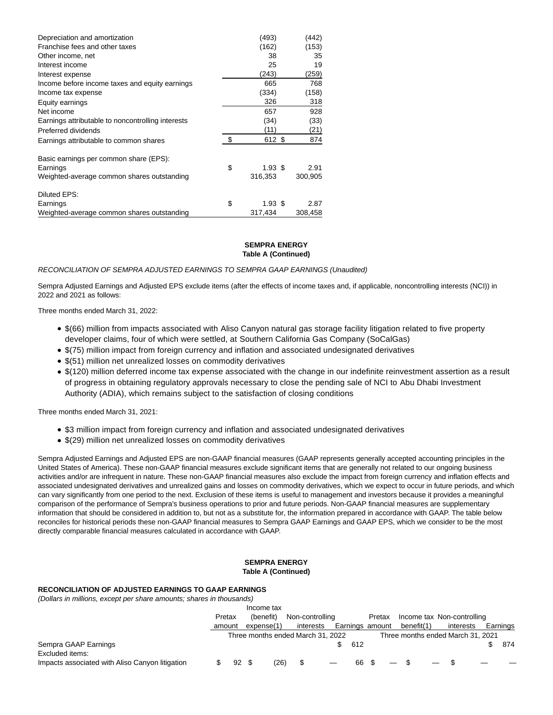| Depreciation and amortization                     | (493)           | (442)   |
|---------------------------------------------------|-----------------|---------|
| Franchise fees and other taxes                    | (162)           | (153)   |
| Other income, net                                 | 38              | 35      |
| Interest income                                   | 25              | 19      |
| Interest expense                                  | 243)            | (259)   |
| Income before income taxes and equity earnings    | 665             | 768     |
| Income tax expense                                | (334)           | (158)   |
| Equity earnings                                   | 326             | 318     |
| Net income                                        | 657             | 928     |
| Earnings attributable to noncontrolling interests | (34)            | (33)    |
| Preferred dividends                               | (11)            | (21)    |
| Earnings attributable to common shares            | \$<br>612 \$    | 874     |
| Basic earnings per common share (EPS):            |                 |         |
| Earnings                                          | \$<br>$1.93$ \$ | 2.91    |
| Weighted-average common shares outstanding        | 316,353         | 300,905 |
| Diluted EPS:                                      |                 |         |
| Earnings                                          | \$<br>$1.93$ \$ | 2.87    |
| Weighted-average common shares outstanding        | 317,434         | 308,458 |

## **SEMPRA ENERGY Table A (Continued)**

RECONCILIATION OF SEMPRA ADJUSTED EARNINGS TO SEMPRA GAAP EARNINGS (Unaudited)

Sempra Adjusted Earnings and Adjusted EPS exclude items (after the effects of income taxes and, if applicable, noncontrolling interests (NCI)) in 2022 and 2021 as follows:

Three months ended March 31, 2022:

- \$(66) million from impacts associated with Aliso Canyon natural gas storage facility litigation related to five property developer claims, four of which were settled, at Southern California Gas Company (SoCalGas)
- \$(75) million impact from foreign currency and inflation and associated undesignated derivatives
- \$(51) million net unrealized losses on commodity derivatives
- \$(120) million deferred income tax expense associated with the change in our indefinite reinvestment assertion as a result of progress in obtaining regulatory approvals necessary to close the pending sale of NCI to Abu Dhabi Investment Authority (ADIA), which remains subject to the satisfaction of closing conditions

Three months ended March 31, 2021:

- \$3 million impact from foreign currency and inflation and associated undesignated derivatives
- \$(29) million net unrealized losses on commodity derivatives

Sempra Adjusted Earnings and Adjusted EPS are non-GAAP financial measures (GAAP represents generally accepted accounting principles in the United States of America). These non-GAAP financial measures exclude significant items that are generally not related to our ongoing business activities and/or are infrequent in nature. These non-GAAP financial measures also exclude the impact from foreign currency and inflation effects and associated undesignated derivatives and unrealized gains and losses on commodity derivatives, which we expect to occur in future periods, and which can vary significantly from one period to the next. Exclusion of these items is useful to management and investors because it provides a meaningful comparison of the performance of Sempra's business operations to prior and future periods. Non-GAAP financial measures are supplementary information that should be considered in addition to, but not as a substitute for, the information prepared in accordance with GAAP. The table below reconciles for historical periods these non-GAAP financial measures to Sempra GAAP Earnings and GAAP EPS, which we consider to be the most directly comparable financial measures calculated in accordance with GAAP.

## **SEMPRA ENERGY Table A (Continued)**

#### **RECONCILIATION OF ADJUSTED EARNINGS TO GAAP EARNINGS**

(Dollars in millions, except per share amounts; shares in thousands)

|                                                 |        |    | Income tax |      |                                   |      |                 |            |                                   |          |
|-------------------------------------------------|--------|----|------------|------|-----------------------------------|------|-----------------|------------|-----------------------------------|----------|
|                                                 | Pretax |    | (benefit)  |      | Non-controlling                   |      | Pretax          |            | Income tax Non-controlling        |          |
|                                                 | amount |    | expense(1) |      | interests                         |      | Earnings amount | benefit(1) | interests                         | Earnings |
|                                                 |        |    |            |      | Three months ended March 31, 2022 |      |                 |            | Three months ended March 31, 2021 |          |
| Sempra GAAP Earnings                            |        |    |            |      |                                   | 612  |                 |            |                                   | 874      |
| Excluded items:                                 |        |    |            |      |                                   |      |                 |            |                                   |          |
| Impacts associated with Aliso Canyon litigation |        | 92 |            | (26) |                                   | 66 S |                 | $-$ \$     |                                   |          |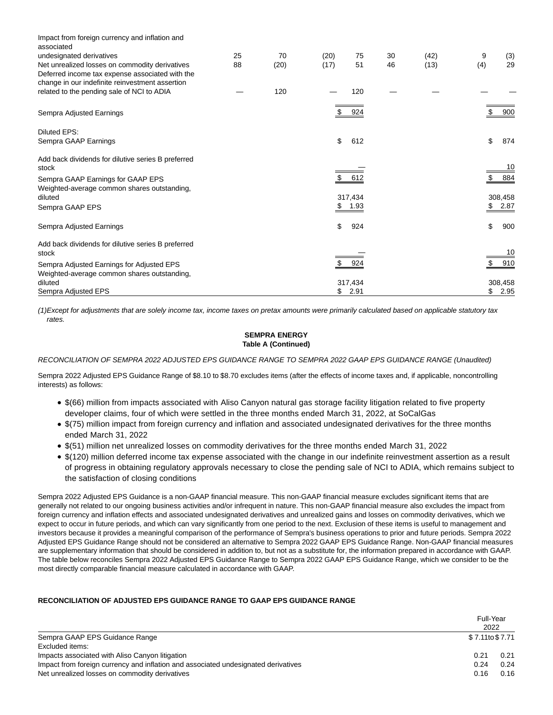| Impact from foreign currency and inflation and<br>associated                                      |    |      |      |         |    |      |         |     |
|---------------------------------------------------------------------------------------------------|----|------|------|---------|----|------|---------|-----|
| undesignated derivatives                                                                          | 25 | 70   | (20) | 75      | 30 | (42) | 9       | (3) |
| Net unrealized losses on commodity derivatives<br>Deferred income tax expense associated with the | 88 | (20) | (17) | 51      | 46 | (13) | (4)     | 29  |
| change in our indefinite reinvestment assertion                                                   |    |      |      |         |    |      |         |     |
| related to the pending sale of NCI to ADIA                                                        |    | 120  |      | 120     |    |      |         |     |
| Sempra Adjusted Earnings                                                                          |    |      |      | \$924   |    |      |         | 900 |
| Diluted EPS:                                                                                      |    |      |      |         |    |      |         |     |
| Sempra GAAP Earnings                                                                              |    |      | \$   | 612     |    |      | \$      | 874 |
| Add back dividends for dilutive series B preferred<br>stock                                       |    |      |      |         |    |      |         | 10  |
| Sempra GAAP Earnings for GAAP EPS<br>Weighted-average common shares outstanding,                  |    |      |      | 612     |    |      |         | 884 |
| diluted                                                                                           |    |      |      | 317,434 |    |      | 308,458 |     |
| Sempra GAAP EPS                                                                                   |    |      |      | \$ 1.93 |    |      | \$ 2.87 |     |
| Sempra Adjusted Earnings                                                                          |    |      | \$   | 924     |    |      | \$      | 900 |
| Add back dividends for dilutive series B preferred                                                |    |      |      |         |    |      |         |     |
| stock                                                                                             |    |      |      |         |    |      |         | 10  |
| Sempra Adjusted Earnings for Adjusted EPS<br>Weighted-average common shares outstanding,          |    |      |      | 924     |    |      |         | 910 |
| diluted                                                                                           |    |      |      | 317,434 |    |      | 308,458 |     |
| Sempra Adjusted EPS                                                                               |    |      |      | \$2.91  |    |      | \$2.95  |     |

(1)Except for adjustments that are solely income tax, income taxes on pretax amounts were primarily calculated based on applicable statutory tax rates.

# **SEMPRA ENERGY Table A (Continued)**

RECONCILIATION OF SEMPRA 2022 ADJUSTED EPS GUIDANCE RANGE TO SEMPRA 2022 GAAP EPS GUIDANCE RANGE (Unaudited)

Sempra 2022 Adjusted EPS Guidance Range of \$8.10 to \$8.70 excludes items (after the effects of income taxes and, if applicable, noncontrolling interests) as follows:

- \$(66) million from impacts associated with Aliso Canyon natural gas storage facility litigation related to five property developer claims, four of which were settled in the three months ended March 31, 2022, at SoCalGas
- \$(75) million impact from foreign currency and inflation and associated undesignated derivatives for the three months ended March 31, 2022
- \$(51) million net unrealized losses on commodity derivatives for the three months ended March 31, 2022
- \$(120) million deferred income tax expense associated with the change in our indefinite reinvestment assertion as a result of progress in obtaining regulatory approvals necessary to close the pending sale of NCI to ADIA, which remains subject to the satisfaction of closing conditions

Sempra 2022 Adjusted EPS Guidance is a non-GAAP financial measure. This non-GAAP financial measure excludes significant items that are generally not related to our ongoing business activities and/or infrequent in nature. This non-GAAP financial measure also excludes the impact from foreign currency and inflation effects and associated undesignated derivatives and unrealized gains and losses on commodity derivatives, which we expect to occur in future periods, and which can vary significantly from one period to the next. Exclusion of these items is useful to management and investors because it provides a meaningful comparison of the performance of Sempra's business operations to prior and future periods. Sempra 2022 Adjusted EPS Guidance Range should not be considered an alternative to Sempra 2022 GAAP EPS Guidance Range. Non-GAAP financial measures are supplementary information that should be considered in addition to, but not as a substitute for, the information prepared in accordance with GAAP. The table below reconciles Sempra 2022 Adjusted EPS Guidance Range to Sempra 2022 GAAP EPS Guidance Range, which we consider to be the most directly comparable financial measure calculated in accordance with GAAP.

## **RECONCILIATION OF ADJUSTED EPS GUIDANCE RANGE TO GAAP EPS GUIDANCE RANGE**

|                                                                                    |                  | Full-Year<br>2022 |  |  |  |  |
|------------------------------------------------------------------------------------|------------------|-------------------|--|--|--|--|
| Sempra GAAP EPS Guidance Range                                                     | \$7.11 to \$7.71 |                   |  |  |  |  |
| Excluded items:                                                                    |                  |                   |  |  |  |  |
| Impacts associated with Aliso Canyon litigation                                    | 0.21             | 0.21              |  |  |  |  |
| Impact from foreign currency and inflation and associated undesignated derivatives | 0.24             | 0.24              |  |  |  |  |
| Net unrealized losses on commodity derivatives                                     | 0.16             | 0.16              |  |  |  |  |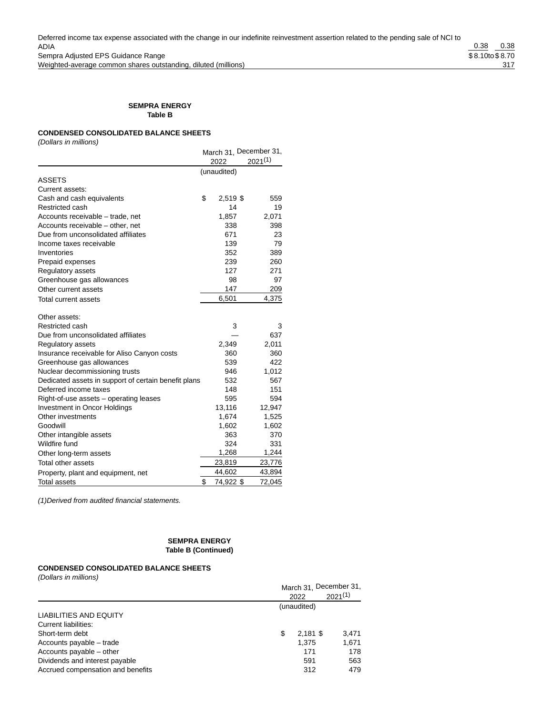## **SEMPRA ENERGY Table B**

# **CONDENSED CONSOLIDATED BALANCE SHEETS**

(Dollars in millions)

|                                                      | March 31, December 31,<br>$2021^{(1)}$<br>2022 |        |  |  |  |
|------------------------------------------------------|------------------------------------------------|--------|--|--|--|
|                                                      | (unaudited)                                    |        |  |  |  |
| <b>ASSETS</b>                                        |                                                |        |  |  |  |
| Current assets:                                      |                                                |        |  |  |  |
| Cash and cash equivalents                            | \$<br>2,519 \$                                 | 559    |  |  |  |
| Restricted cash                                      | 14                                             | 19     |  |  |  |
| Accounts receivable – trade, net                     | 1,857                                          | 2,071  |  |  |  |
| Accounts receivable – other, net                     | 338                                            | 398    |  |  |  |
| Due from unconsolidated affiliates                   | 671                                            | 23     |  |  |  |
| Income taxes receivable                              | 139                                            | 79     |  |  |  |
| Inventories                                          | 352                                            | 389    |  |  |  |
| Prepaid expenses                                     | 239                                            | 260    |  |  |  |
| Regulatory assets                                    | 127                                            | 271    |  |  |  |
| Greenhouse gas allowances                            | 98                                             | 97     |  |  |  |
| Other current assets                                 | 147                                            | 209    |  |  |  |
| <b>Total current assets</b>                          | 6,501                                          | 4,375  |  |  |  |
| Other assets:                                        |                                                |        |  |  |  |
| Restricted cash                                      | 3                                              | 3      |  |  |  |
| Due from unconsolidated affiliates                   |                                                | 637    |  |  |  |
| Regulatory assets                                    | 2,349                                          | 2,011  |  |  |  |
| Insurance receivable for Aliso Canyon costs          | 360                                            | 360    |  |  |  |
| Greenhouse gas allowances                            | 539                                            | 422    |  |  |  |
| Nuclear decommissioning trusts                       | 946                                            | 1,012  |  |  |  |
| Dedicated assets in support of certain benefit plans | 532                                            | 567    |  |  |  |
| Deferred income taxes                                | 148                                            | 151    |  |  |  |
| Right-of-use assets - operating leases               | 595                                            | 594    |  |  |  |
| Investment in Oncor Holdings                         | 13,116                                         | 12,947 |  |  |  |
| Other investments                                    | 1,674                                          | 1,525  |  |  |  |
| Goodwill                                             | 1,602                                          | 1,602  |  |  |  |
| Other intangible assets                              | 363                                            | 370    |  |  |  |
| Wildfire fund                                        | 324                                            | 331    |  |  |  |
| Other long-term assets                               | 1,268                                          | 1,244  |  |  |  |
| Total other assets                                   | 23,819                                         | 23,776 |  |  |  |
| Property, plant and equipment, net                   | 44,602                                         | 43,894 |  |  |  |
| Total assets                                         | \$<br>74,922 \$                                | 72,045 |  |  |  |

(1)Derived from audited financial statements.

# **SEMPRA ENERGY Table B (Continued)**

# **CONDENSED CONSOLIDATED BALANCE SHEETS**

(Dollars in millions)

|                                   |   | March 31,<br>2022 | December 31,<br>$2021^{(1)}$ |  |  |
|-----------------------------------|---|-------------------|------------------------------|--|--|
|                                   |   | (unaudited)       |                              |  |  |
| LIABILITIES AND EQUITY            |   |                   |                              |  |  |
| Current liabilities:              |   |                   |                              |  |  |
| Short-term debt                   | S | $2,181$ \$        | 3,471                        |  |  |
| Accounts payable - trade          |   | 1.375             | 1,671                        |  |  |
| Accounts payable - other          |   | 171               | 178                          |  |  |
| Dividends and interest payable    |   | 591               | 563                          |  |  |
| Accrued compensation and benefits |   | 312               | 479                          |  |  |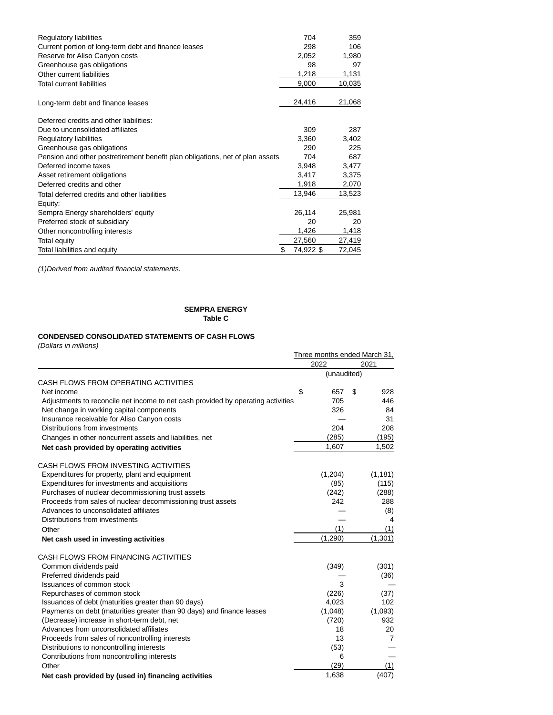| Regulatory liabilities                                                        | 704             | 359    |
|-------------------------------------------------------------------------------|-----------------|--------|
| Current portion of long-term debt and finance leases                          | 298             | 106    |
| Reserve for Aliso Canyon costs                                                | 2,052           | 1,980  |
| Greenhouse gas obligations                                                    | 98              | 97     |
| Other current liabilities                                                     | 1,218           | 1,131  |
| Total current liabilities                                                     | 9,000           | 10,035 |
| Long-term debt and finance leases                                             | 24,416          | 21,068 |
| Deferred credits and other liabilities:                                       |                 |        |
| Due to unconsolidated affiliates                                              | 309             | 287    |
| Regulatory liabilities                                                        | 3,360           | 3,402  |
| Greenhouse gas obligations                                                    | 290             | 225    |
| Pension and other postretirement benefit plan obligations, net of plan assets | 704             | 687    |
| Deferred income taxes                                                         | 3,948           | 3,477  |
| Asset retirement obligations                                                  | 3,417           | 3,375  |
| Deferred credits and other                                                    | 1,918           | 2,070  |
| Total deferred credits and other liabilities                                  | 13,946          | 13,523 |
| Equity:                                                                       |                 |        |
| Sempra Energy shareholders' equity                                            | 26,114          | 25,981 |
| Preferred stock of subsidiary                                                 | 20              | 20     |
| Other noncontrolling interests                                                | 1,426           | 1,418  |
| Total equity                                                                  | 27,560          | 27,419 |
| Total liabilities and equity                                                  | \$<br>74,922 \$ | 72,045 |

(1)Derived from audited financial statements.

# **SEMPRA ENERGY Table C**

# **CONDENSED CONSOLIDATED STATEMENTS OF CASH FLOWS**

(Dollars in millions)

|                                                                                  | Three months ended March 31, |             |    |                |
|----------------------------------------------------------------------------------|------------------------------|-------------|----|----------------|
|                                                                                  |                              | 2022        |    | 2021           |
|                                                                                  |                              | (unaudited) |    |                |
| CASH FLOWS FROM OPERATING ACTIVITIES                                             |                              |             |    |                |
| Net income                                                                       | \$                           | 657         | \$ | 928            |
| Adjustments to reconcile net income to net cash provided by operating activities |                              | 705         |    | 446            |
| Net change in working capital components                                         |                              | 326         |    | 84             |
| Insurance receivable for Aliso Canyon costs                                      |                              |             |    | 31             |
| Distributions from investments                                                   |                              | 204         |    | 208            |
| Changes in other noncurrent assets and liabilities, net                          |                              | (285)       |    | (195)          |
| Net cash provided by operating activities                                        |                              | 1,607       |    | 1,502          |
| CASH FLOWS FROM INVESTING ACTIVITIES                                             |                              |             |    |                |
| Expenditures for property, plant and equipment                                   |                              | (1, 204)    |    | (1, 181)       |
| Expenditures for investments and acquisitions                                    |                              | (85)        |    | (115)          |
| Purchases of nuclear decommissioning trust assets                                |                              | (242)       |    | (288)          |
| Proceeds from sales of nuclear decommissioning trust assets                      |                              | 242         |    | 288            |
| Advances to unconsolidated affiliates                                            |                              |             |    | (8)            |
| Distributions from investments                                                   |                              |             |    | 4              |
| Other                                                                            |                              | (1)         |    | (1)            |
| Net cash used in investing activities                                            |                              | (1,290)     |    | (1, 301)       |
| CASH FLOWS FROM FINANCING ACTIVITIES                                             |                              |             |    |                |
| Common dividends paid                                                            |                              | (349)       |    | (301)          |
| Preferred dividends paid                                                         |                              |             |    | (36)           |
| Issuances of common stock                                                        |                              | 3           |    |                |
| Repurchases of common stock                                                      |                              | (226)       |    | (37)           |
| Issuances of debt (maturities greater than 90 days)                              |                              | 4,023       |    | 102            |
| Payments on debt (maturities greater than 90 days) and finance leases            |                              | (1,048)     |    | (1,093)        |
| (Decrease) increase in short-term debt, net                                      |                              | (720)       |    | 932            |
| Advances from unconsolidated affiliates                                          |                              | 18          |    | 20             |
| Proceeds from sales of noncontrolling interests                                  |                              | 13          |    | $\overline{7}$ |
| Distributions to noncontrolling interests                                        |                              | (53)        |    |                |
| Contributions from noncontrolling interests                                      |                              | 6           |    |                |
| Other                                                                            |                              | (29)        |    | (1)            |
| Net cash provided by (used in) financing activities                              |                              | 1,638       |    | (407)          |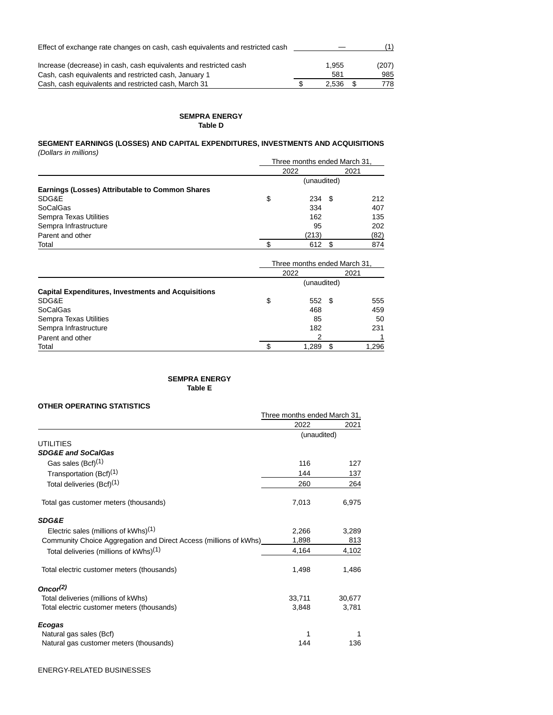| Effect of exchange rate changes on cash, cash equivalents and restricted cash |            |       |
|-------------------------------------------------------------------------------|------------|-------|
| Increase (decrease) in cash, cash equivalents and restricted cash             | 1.955      | (207) |
| Cash, cash equivalents and restricted cash, January 1                         | 581        | 985   |
| Cash, cash equivalents and restricted cash, March 31                          | $2.536$ \$ | 778   |

### **SEMPRA ENERGY Table D**

## **SEGMENT EARNINGS (LOSSES) AND CAPITAL EXPENDITURES, INVESTMENTS AND ACQUISITIONS** (Dollars in millions)

|                                                        |             | Three months ended March 31, |      |      |  |  |
|--------------------------------------------------------|-------------|------------------------------|------|------|--|--|
|                                                        |             | 2022                         | 2021 |      |  |  |
|                                                        | (unaudited) |                              |      |      |  |  |
| <b>Earnings (Losses) Attributable to Common Shares</b> |             |                              |      |      |  |  |
| SDG&E                                                  | S           | 234 \$                       |      | 212  |  |  |
| SoCalGas                                               |             | 334                          |      | 407  |  |  |
| Sempra Texas Utilities                                 |             | 162                          |      | 135  |  |  |
| Sempra Infrastructure                                  |             | 95                           |      | 202  |  |  |
| Parent and other                                       |             | (213)                        |      | (82) |  |  |
| Total                                                  |             | 612                          |      | 874  |  |  |

|                                                           | Three months ended March 31, |  |       |  |  |
|-----------------------------------------------------------|------------------------------|--|-------|--|--|
|                                                           | 2022                         |  | 2021  |  |  |
|                                                           | (unaudited)                  |  |       |  |  |
| <b>Capital Expenditures, Investments and Acquisitions</b> |                              |  |       |  |  |
| SDG&E                                                     | \$<br>$552$ \$               |  | 555   |  |  |
| <b>SoCalGas</b>                                           | 468                          |  | 459   |  |  |
| Sempra Texas Utilities                                    | 85                           |  | 50    |  |  |
| Sempra Infrastructure                                     | 182                          |  | 231   |  |  |
| Parent and other                                          | 2                            |  |       |  |  |
| Total                                                     | 1.289                        |  | 1.296 |  |  |

# **SEMPRA ENERGY Table E**

# **OTHER OPERATING STATISTICS**

| 0111LM OF LIVATING 01AH01100                                      |                              |        |  |
|-------------------------------------------------------------------|------------------------------|--------|--|
|                                                                   | Three months ended March 31, |        |  |
|                                                                   | 2022                         | 2021   |  |
|                                                                   | (unaudited)                  |        |  |
| <b>UTILITIES</b>                                                  |                              |        |  |
| <b>SDG&amp;E and SoCalGas</b>                                     |                              |        |  |
| Gas sales (Bcf) <sup>(1)</sup>                                    | 116                          | 127    |  |
| Transportation (Bcf) <sup>(1)</sup>                               | 144                          | 137    |  |
| Total deliveries (Bcf) <sup>(1)</sup>                             | 260                          | 264    |  |
| Total gas customer meters (thousands)                             | 7,013                        | 6,975  |  |
| <b>SDG&amp;E</b>                                                  |                              |        |  |
| Electric sales (millions of kWhs) <sup>(1)</sup>                  | 2,266                        | 3,289  |  |
| Community Choice Aggregation and Direct Access (millions of kWhs) | 1,898                        | 813    |  |
| Total deliveries (millions of kWhs) <sup>(1)</sup>                | 4,164                        | 4,102  |  |
| Total electric customer meters (thousands)                        | 1,498                        | 1,486  |  |
| Oncor $^{(2)}$                                                    |                              |        |  |
| Total deliveries (millions of kWhs)                               | 33,711                       | 30,677 |  |
| Total electric customer meters (thousands)                        | 3,848                        | 3,781  |  |
| Ecogas                                                            |                              |        |  |
| Natural gas sales (Bcf)                                           | 1                            |        |  |
| Natural gas customer meters (thousands)                           | 144                          | 136    |  |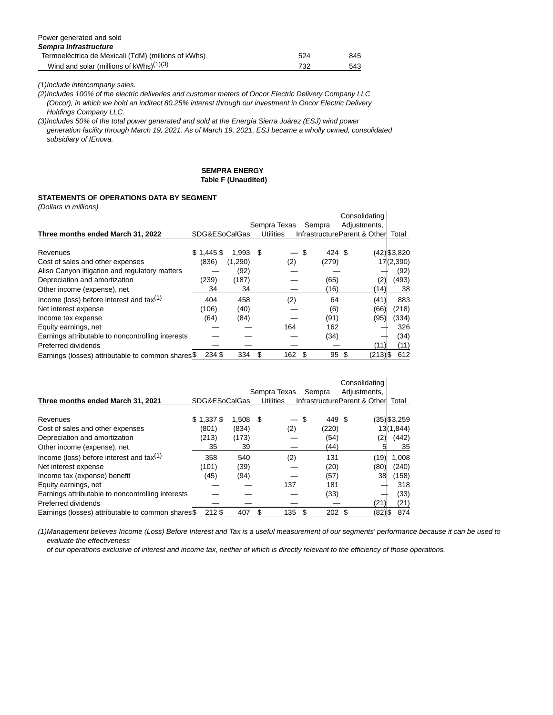| Power generated and sold                               |     |     |
|--------------------------------------------------------|-----|-----|
| Sempra Infrastructure                                  |     |     |
| Termoeléctrica de Mexicali (TdM) (millions of kWhs)    | 524 | 845 |
| Wind and solar (millions of $kWhs$ ) <sup>(1)(3)</sup> | 732 | 543 |

(1)Include intercompany sales.

(2)Includes 100% of the electric deliveries and customer meters of Oncor Electric Delivery Company LLC (Oncor), in which we hold an indirect 80.25% interest through our investment in Oncor Electric Delivery Holdings Company LLC.

(3)Includes 50% of the total power generated and sold at the Energía Sierra Juárez (ESJ) wind power generation facility through March 19, 2021. As of March 19, 2021, ESJ became a wholly owned, consolidated subsidiary of IEnova.

# **SEMPRA ENERGY Table F (Unaudited)**

## **STATEMENTS OF OPERATIONS DATA BY SEGMENT**

(Dollars in millions)

|                                                    |               |         |              |     |        | Consolidating                |             |
|----------------------------------------------------|---------------|---------|--------------|-----|--------|------------------------------|-------------|
|                                                    |               |         | Sempra Texas |     | Sempra | Adjustments,                 |             |
| Three months ended March 31, 2022                  | SDG&ESoCalGas |         | Utilities    |     |        | InfrastructureParent & Other | Total       |
|                                                    |               |         |              |     |        |                              |             |
| Revenues                                           | \$1.445\$     | 1.993   | \$           |     | 424 \$ |                              | (42)\$3,820 |
| Cost of sales and other expenses                   | (836)         | (1,290) |              | (2) | (279)  |                              | 17(2,390)   |
| Aliso Canyon litigation and regulatory matters     |               | (92)    |              |     |        |                              | (92)        |
| Depreciation and amortization                      | (239)         | (187)   |              |     | (65)   | (2)                          | (493)       |
| Other income (expense), net                        | 34            | 34      |              |     | (16)   | (14)                         | 38          |
| Income (loss) before interest and $tax^{(1)}$      | 404           | 458     |              | (2) | 64     | (41)                         | 883         |
| Net interest expense                               | (106)         | (40)    |              |     | (6)    | (66)                         | (218)       |
| Income tax expense                                 | (64)          | (84)    |              |     | (91)   | (95)                         | (334)       |
| Equity earnings, net                               |               |         |              | 164 | 162    |                              | 326         |
| Earnings attributable to noncontrolling interests  |               |         |              |     | (34)   |                              | (34)        |
| Preferred dividends                                |               |         |              |     |        | (11)                         | (11)        |
| Earnings (losses) attributable to common shares \$ | 234 \$        | 334     |              | 162 |        | 95 \$<br>(213) \$            | 612         |

|                                                   |               |       |                  |                          |             | Consolidating                |              |
|---------------------------------------------------|---------------|-------|------------------|--------------------------|-------------|------------------------------|--------------|
|                                                   |               |       | Sempra Texas     |                          | Sempra      | Adjustments,                 |              |
| Three months ended March 31, 2021                 | SDG&ESoCalGas |       | <b>Utilities</b> |                          |             | InfrastructureParent & Other | Total        |
|                                                   |               |       |                  |                          |             |                              |              |
| Revenues                                          | $$1.337$ \$   | 1.508 | \$               | $\overline{\phantom{0}}$ | S<br>449 \$ |                              | (35) \$3,259 |
| Cost of sales and other expenses                  | (801)         | (834) |                  | (2)                      | (220)       |                              | 13(1,844)    |
| Depreciation and amortization                     | (213)         | (173) |                  |                          | (54)        | (2)                          | (442)        |
| Other income (expense), net                       | 35            | 39    |                  |                          | (44)        |                              | 35           |
| Income (loss) before interest and $tax(1)$        | 358           | 540   |                  | (2)                      | 131         | (19)                         | 1,008        |
| Net interest expense                              | (101)         | (39)  |                  |                          | (20)        | (80)                         | (240)        |
| Income tax (expense) benefit                      | (45)          | (94)  |                  |                          | (57)        | 38                           | (158)        |
| Equity earnings, net                              |               |       |                  | 137                      | 181         |                              | 318          |
| Earnings attributable to noncontrolling interests |               |       |                  |                          | (33)        |                              | (33)         |
| Preferred dividends                               |               |       |                  |                          |             | 21                           | (21)         |
| Earnings (losses) attributable to common shares\$ | 212\$         | 407   | S                | 135                      | 202S        | (82)\$                       | 874          |

(1)Management believes Income (Loss) Before Interest and Tax is a useful measurement of our segments' performance because it can be used to evaluate the effectiveness

of our operations exclusive of interest and income tax, neither of which is directly relevant to the efficiency of those operations.